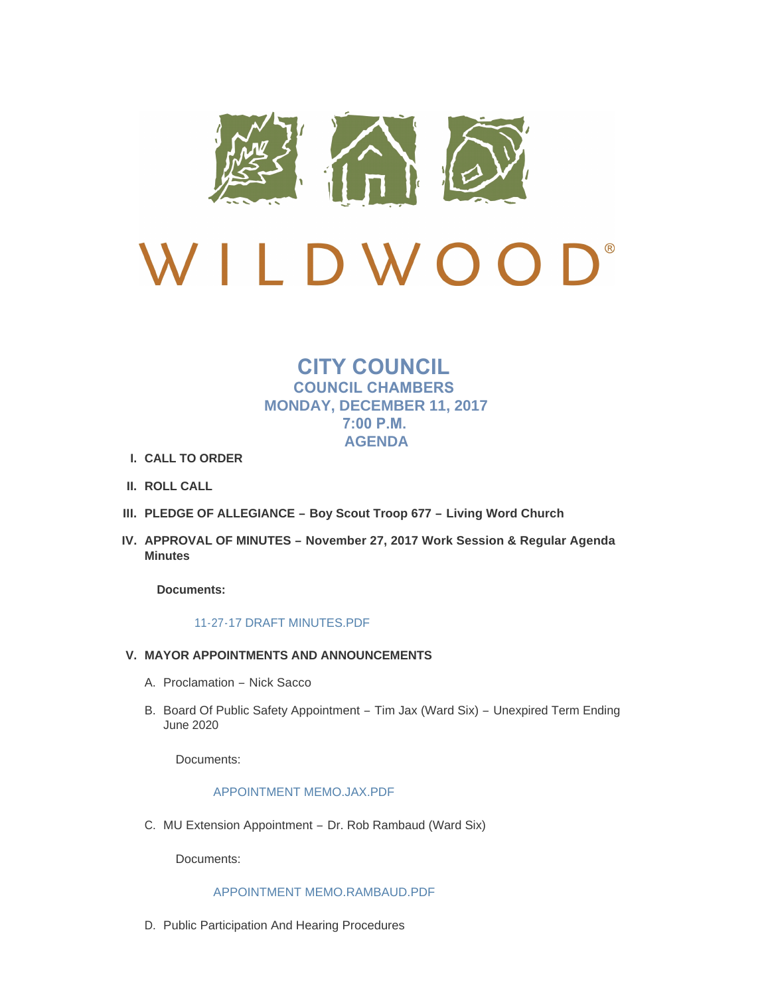

# $\mathbf{D}^*$ LDWOO  $\sqrt{ }$

# **CITY COUNCIL COUNCIL CHAMBERS MONDAY, DECEMBER 11, 2017 7:00 P.M. AGENDA**

- **CALL TO ORDER I.**
- **ROLL CALL II.**
- **PLEDGE OF ALLEGIANCE – Boy Scout Troop 677 – Living Word Church III.**
- **APPROVAL OF MINUTES – November 27, 2017 Work Session & Regular Agenda IV. Minutes**

**Documents:**

# [11-27-17 DRAFT MINUTES.PDF](http://mo-wildwood.civicplus.com/AgendaCenter/ViewFile/Item/13368?fileID=19149)

# **MAYOR APPOINTMENTS AND ANNOUNCEMENTS V.**

- A. Proclamation Nick Sacco
- B. Board Of Public Safety Appointment Tim Jax (Ward Six) Unexpired Term Ending June 2020

Documents:

# [APPOINTMENT MEMO.JAX.PDF](http://mo-wildwood.civicplus.com/AgendaCenter/ViewFile/Item/13371?fileID=19197)

MU Extension Appointment – Dr. Rob Rambaud (Ward Six) C.

Documents:

# [APPOINTMENT MEMO.RAMBAUD.PDF](http://mo-wildwood.civicplus.com/AgendaCenter/ViewFile/Item/13372?fileID=19162)

D. Public Participation And Hearing Procedures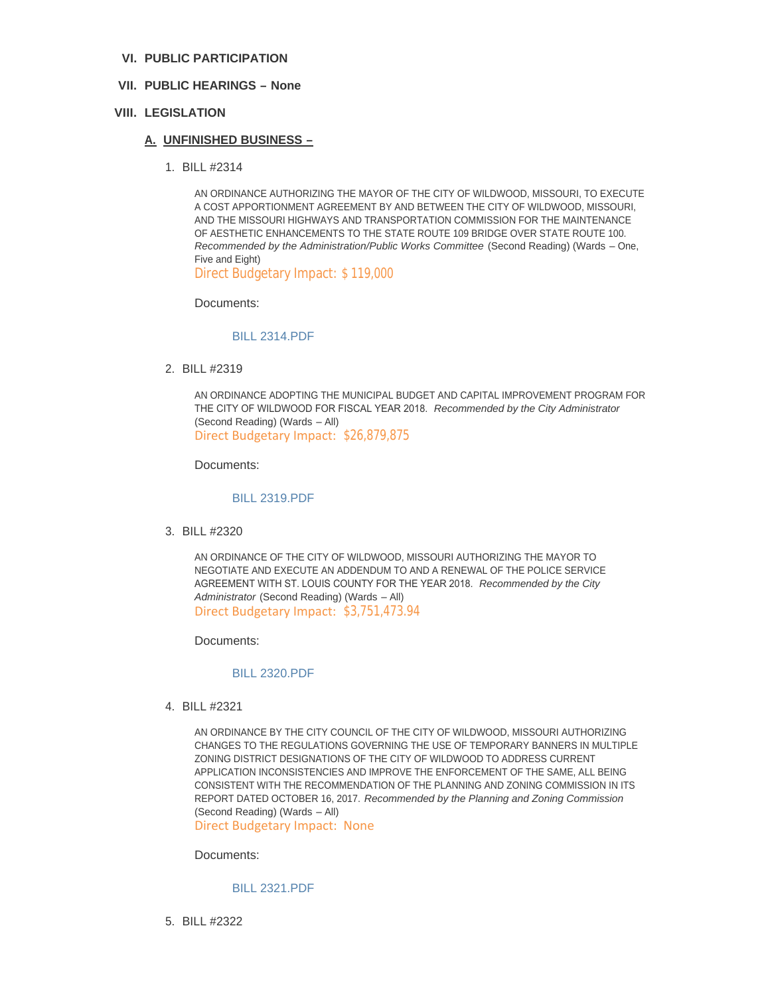# **PUBLIC PARTICIPATION VI.**

# **PUBLIC HEARINGS – None VII.**

# **LEGISLATION VIII.**

#### **UNFINISHED BUSINESS – A.**

BILL #2314 1.

AN ORDINANCE AUTHORIZING THE MAYOR OF THE CITY OF WILDWOOD, MISSOURI, TO EXECUTE A COST APPORTIONMENT AGREEMENT BY AND BETWEEN THE CITY OF WILDWOOD, MISSOURI, AND THE MISSOURI HIGHWAYS AND TRANSPORTATION COMMISSION FOR THE MAINTENANCE OF AESTHETIC ENHANCEMENTS TO THE STATE ROUTE 109 BRIDGE OVER STATE ROUTE 100. *Recommended by the Administration/Public Works Committee* (Second Reading) (Wards – One, Five and Eight)

Direct Budgetary Impact: \$ 119,000

Documents:

#### [BILL 2314.PDF](http://mo-wildwood.civicplus.com/AgendaCenter/ViewFile/Item/13378?fileID=19150)

BILL #2319 2.

AN ORDINANCE ADOPTING THE MUNICIPAL BUDGET AND CAPITAL IMPROVEMENT PROGRAM FOR THE CITY OF WILDWOOD FOR FISCAL YEAR 2018. *Recommended by the City Administrator*  (Second Reading) (Wards – All) Direct Budgetary Impact: \$26,879,875

Documents:

#### [BILL 2319.PDF](http://mo-wildwood.civicplus.com/AgendaCenter/ViewFile/Item/13379?fileID=19206)

BILL #2320 3.

AN ORDINANCE OF THE CITY OF WILDWOOD, MISSOURI AUTHORIZING THE MAYOR TO NEGOTIATE AND EXECUTE AN ADDENDUM TO AND A RENEWAL OF THE POLICE SERVICE AGREEMENT WITH ST. LOUIS COUNTY FOR THE YEAR 2018. *Recommended by the City Administrator* (Second Reading) (Wards – All) Direct Budgetary Impact: \$3,751,473.94

Documents:

#### [BILL 2320.PDF](http://mo-wildwood.civicplus.com/AgendaCenter/ViewFile/Item/13380?fileID=19152)

BILL #2321 4.

AN ORDINANCE BY THE CITY COUNCIL OF THE CITY OF WILDWOOD, MISSOURI AUTHORIZING CHANGES TO THE REGULATIONS GOVERNING THE USE OF TEMPORARY BANNERS IN MULTIPLE ZONING DISTRICT DESIGNATIONS OF THE CITY OF WILDWOOD TO ADDRESS CURRENT APPLICATION INCONSISTENCIES AND IMPROVE THE ENFORCEMENT OF THE SAME, ALL BEING CONSISTENT WITH THE RECOMMENDATION OF THE PLANNING AND ZONING COMMISSION IN ITS REPORT DATED OCTOBER 16, 2017. *Recommended by the Planning and Zoning Commission*  (Second Reading) (Wards – All)

Direct Budgetary Impact: None

Documents:

# [BILL 2321.PDF](http://mo-wildwood.civicplus.com/AgendaCenter/ViewFile/Item/13381?fileID=19153)

BILL #2322 5.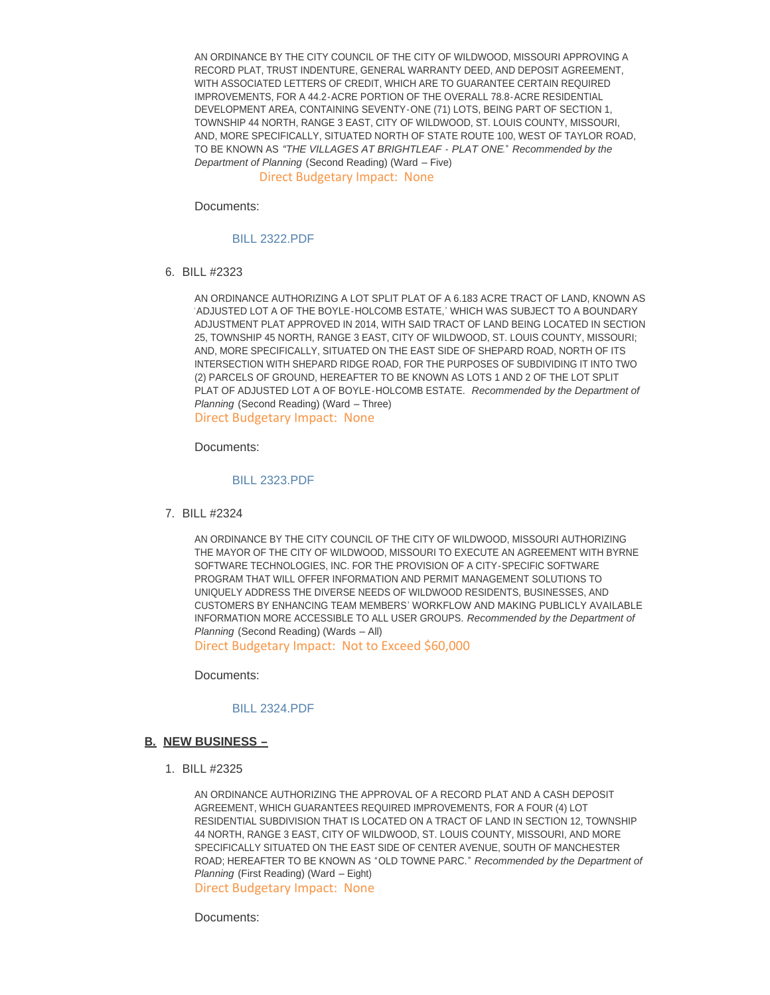AN ORDINANCE BY THE CITY COUNCIL OF THE CITY OF WILDWOOD, MISSOURI APPROVING A RECORD PLAT, TRUST INDENTURE, GENERAL WARRANTY DEED, AND DEPOSIT AGREEMENT, WITH ASSOCIATED LETTERS OF CREDIT, WHICH ARE TO GUARANTEE CERTAIN REQUIRED IMPROVEMENTS, FOR A 44.2-ACRE PORTION OF THE OVERALL 78.8-ACRE RESIDENTIAL DEVELOPMENT AREA, CONTAINING SEVENTY-ONE (71) LOTS, BEING PART OF SECTION 1, TOWNSHIP 44 NORTH, RANGE 3 EAST, CITY OF WILDWOOD, ST. LOUIS COUNTY, MISSOURI, AND, MORE SPECIFICALLY, SITUATED NORTH OF STATE ROUTE 100, WEST OF TAYLOR ROAD, TO BE KNOWN AS *"THE VILLAGES AT BRIGHTLEAF - PLAT ONE*." *Recommended by the Department of Planning* (Second Reading) (Ward – Five)

Direct Budgetary Impact: None

Documents:

[BILL 2322.PDF](http://mo-wildwood.civicplus.com/AgendaCenter/ViewFile/Item/13382?fileID=19187)

BILL #2323 6.

AN ORDINANCE AUTHORIZING A LOT SPLIT PLAT OF A 6.183 ACRE TRACT OF LAND, KNOWN AS 'ADJUSTED LOT A OF THE BOYLE-HOLCOMB ESTATE,' WHICH WAS SUBJECT TO A BOUNDARY ADJUSTMENT PLAT APPROVED IN 2014, WITH SAID TRACT OF LAND BEING LOCATED IN SECTION 25, TOWNSHIP 45 NORTH, RANGE 3 EAST, CITY OF WILDWOOD, ST. LOUIS COUNTY, MISSOURI; AND, MORE SPECIFICALLY, SITUATED ON THE EAST SIDE OF SHEPARD ROAD, NORTH OF ITS INTERSECTION WITH SHEPARD RIDGE ROAD, FOR THE PURPOSES OF SUBDIVIDING IT INTO TWO (2) PARCELS OF GROUND, HEREAFTER TO BE KNOWN AS LOTS 1 AND 2 OF THE LOT SPLIT PLAT OF ADJUSTED LOT A OF BOYLE-HOLCOMB ESTATE. *Recommended by the Department of Planning* (Second Reading) (Ward – Three)

Direct Budgetary Impact: None

Documents:

[BILL 2323.PDF](http://mo-wildwood.civicplus.com/AgendaCenter/ViewFile/Item/13383?fileID=19155)

BILL #2324 7.

AN ORDINANCE BY THE CITY COUNCIL OF THE CITY OF WILDWOOD, MISSOURI AUTHORIZING THE MAYOR OF THE CITY OF WILDWOOD, MISSOURI TO EXECUTE AN AGREEMENT WITH BYRNE SOFTWARE TECHNOLOGIES, INC. FOR THE PROVISION OF A CITY-SPECIFIC SOFTWARE PROGRAM THAT WILL OFFER INFORMATION AND PERMIT MANAGEMENT SOLUTIONS TO UNIQUELY ADDRESS THE DIVERSE NEEDS OF WILDWOOD RESIDENTS, BUSINESSES, AND CUSTOMERS BY ENHANCING TEAM MEMBERS' WORKFLOW AND MAKING PUBLICLY AVAILABLE INFORMATION MORE ACCESSIBLE TO ALL USER GROUPS. *Recommended by the Department of Planning* (Second Reading) (Wards – All)

Direct Budgetary Impact: Not to Exceed \$60,000

Documents:

#### [BILL 2324.PDF](http://mo-wildwood.civicplus.com/AgendaCenter/ViewFile/Item/13384?fileID=19156)

#### **NEW BUSINESS – B.**

BILL #2325 1.

AN ORDINANCE AUTHORIZING THE APPROVAL OF A RECORD PLAT AND A CASH DEPOSIT AGREEMENT, WHICH GUARANTEES REQUIRED IMPROVEMENTS, FOR A FOUR (4) LOT RESIDENTIAL SUBDIVISION THAT IS LOCATED ON A TRACT OF LAND IN SECTION 12, TOWNSHIP 44 NORTH, RANGE 3 EAST, CITY OF WILDWOOD, ST. LOUIS COUNTY, MISSOURI, AND MORE SPECIFICALLY SITUATED ON THE EAST SIDE OF CENTER AVENUE, SOUTH OF MANCHESTER ROAD; HEREAFTER TO BE KNOWN AS "OLD TOWNE PARC." *Recommended by the Department of Planning* (First Reading) (Ward – Eight)

Direct Budgetary Impact: None

Documents: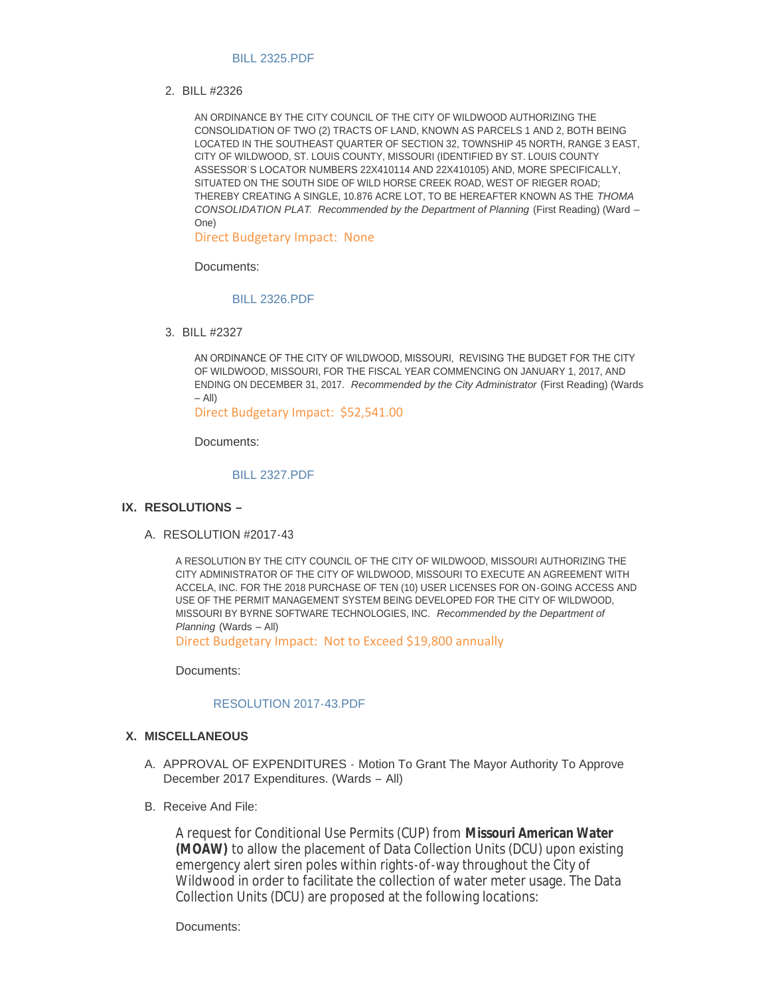#### [BILL 2325.PDF](http://mo-wildwood.civicplus.com/AgendaCenter/ViewFile/Item/13386?fileID=19157)

BILL #2326 2.

AN ORDINANCE BY THE CITY COUNCIL OF THE CITY OF WILDWOOD AUTHORIZING THE CONSOLIDATION OF TWO (2) TRACTS OF LAND, KNOWN AS PARCELS 1 AND 2, BOTH BEING LOCATED IN THE SOUTHEAST QUARTER OF SECTION 32, TOWNSHIP 45 NORTH, RANGE 3 EAST, CITY OF WILDWOOD, ST. LOUIS COUNTY, MISSOURI (IDENTIFIED BY ST. LOUIS COUNTY ASSESSOR'S LOCATOR NUMBERS 22X410114 AND 22X410105) AND, MORE SPECIFICALLY, SITUATED ON THE SOUTH SIDE OF WILD HORSE CREEK ROAD, WEST OF RIEGER ROAD; THEREBY CREATING A SINGLE, 10.876 ACRE LOT, TO BE HEREAFTER KNOWN AS THE *THOMA CONSOLIDATION PLAT*. *Recommended by the Department of Planning* (First Reading) (Ward – One)

Direct Budgetary Impact: None

Documents:

#### [BILL 2326.PDF](http://mo-wildwood.civicplus.com/AgendaCenter/ViewFile/Item/13387?fileID=19158)

BILL #2327 3.

AN ORDINANCE OF THE CITY OF WILDWOOD, MISSOURI, REVISING THE BUDGET FOR THE CITY OF WILDWOOD, MISSOURI, FOR THE FISCAL YEAR COMMENCING ON JANUARY 1, 2017, AND ENDING ON DECEMBER 31, 2017. *Recommended by the City Administrator* (First Reading) (Wards  $-$  All $)$ 

Direct Budgetary Impact: \$52,541.00

Documents:

#### [BILL 2327.PDF](http://mo-wildwood.civicplus.com/AgendaCenter/ViewFile/Item/13388?fileID=19186)

# **RESOLUTIONS – IX.**

A. RESOLUTION #2017-43

A RESOLUTION BY THE CITY COUNCIL OF THE CITY OF WILDWOOD, MISSOURI AUTHORIZING THE CITY ADMINISTRATOR OF THE CITY OF WILDWOOD, MISSOURI TO EXECUTE AN AGREEMENT WITH ACCELA, INC. FOR THE 2018 PURCHASE OF TEN (10) USER LICENSES FOR ON-GOING ACCESS AND USE OF THE PERMIT MANAGEMENT SYSTEM BEING DEVELOPED FOR THE CITY OF WILDWOOD, MISSOURI BY BYRNE SOFTWARE TECHNOLOGIES, INC. *Recommended by the Department of Planning* (Wards – All)

Direct Budgetary Impact: Not to Exceed \$19,800 annually

Documents:

#### [RESOLUTION 2017-43.PDF](http://mo-wildwood.civicplus.com/AgendaCenter/ViewFile/Item/13390?fileID=19201)

#### **MISCELLANEOUS X.**

- A. APPROVAL OF EXPENDITURES Motion To Grant The Mayor Authority To Approve December 2017 Expenditures. (Wards – All)
- B. Receive And File:

A request for Conditional Use Permits (CUP) from **Missouri American Water (MOAW)** to allow the placement of Data Collection Units (DCU) upon existing emergency alert siren poles within rights-of-way throughout the City of Wildwood in order to facilitate the collection of water meter usage. The Data Collection Units (DCU) are proposed at the following locations:

Documents: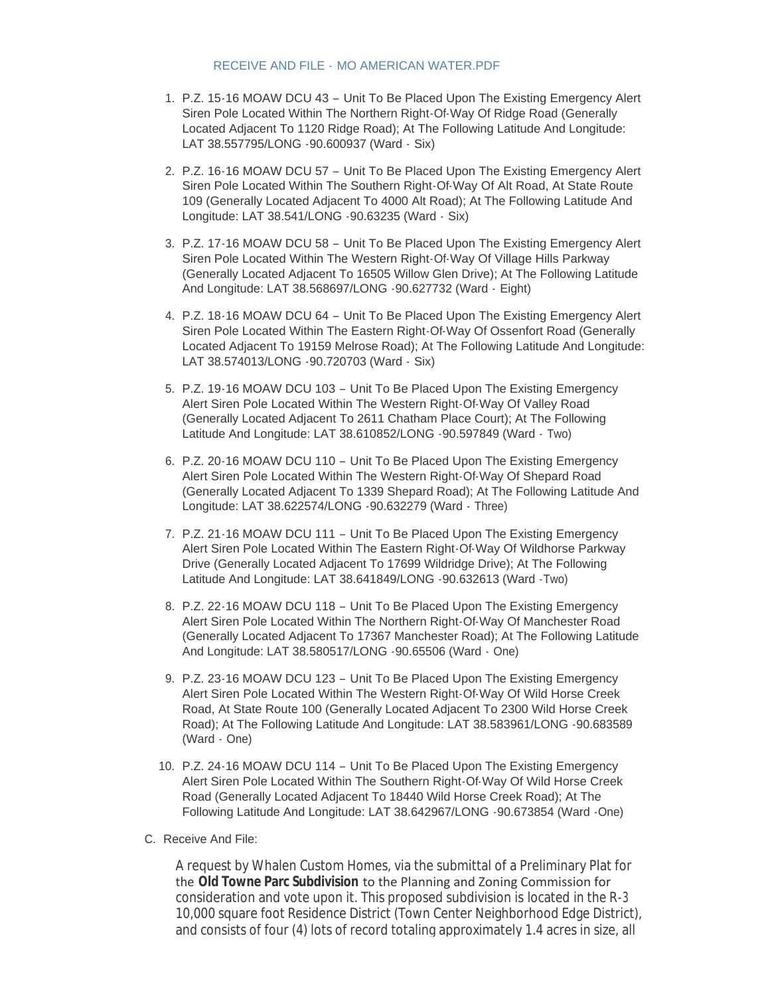#### RECEIVE AND FILE - [MO AMERICAN WATER.PDF](http://mo-wildwood.civicplus.com/AgendaCenter/ViewFile/Item/13393?fileID=19160)

- 1. P.Z. 15-16 MOAW DCU 43 Unit To Be Placed Upon The Existing Emergency Alert Siren Pole Located Within The Northern Right-Of-Way Of Ridge Road (Generally Located Adjacent To 1120 Ridge Road); At The Following Latitude And Longitude: LAT 38.557795/LONG -90.600937 (Ward - Six)
- 2. P.Z. 16-16 MOAW DCU 57 Unit To Be Placed Upon The Existing Emergency Alert Siren Pole Located Within The Southern Right-Of-Way Of Alt Road, At State Route 109 (Generally Located Adjacent To 4000 Alt Road); At The Following Latitude And Longitude: LAT 38.541/LONG -90.63235 (Ward - Six)
- 3. P.Z. 17-16 MOAW DCU 58 Unit To Be Placed Upon The Existing Emergency Alert Siren Pole Located Within The Western Right-Of-Way Of Village Hills Parkway (Generally Located Adjacent To 16505 Willow Glen Drive); At The Following Latitude And Longitude: LAT 38.568697/LONG -90.627732 (Ward - Eight)
- 4. P.Z. 18-16 MOAW DCU 64 Unit To Be Placed Upon The Existing Emergency Alert Siren Pole Located Within The Eastern Right-Of-Way Of Ossenfort Road (Generally Located Adjacent To 19159 Melrose Road); At The Following Latitude And Longitude: LAT 38.574013/LONG -90.720703 (Ward - Six)
- 5. P.Z. 19-16 MOAW DCU 103 Unit To Be Placed Upon The Existing Emergency Alert Siren Pole Located Within The Western Right-Of-Way Of Valley Road (Generally Located Adjacent To 2611 Chatham Place Court); At The Following Latitude And Longitude: LAT 38.610852/LONG -90.597849 (Ward - Two)
- 6. P.Z. 20-16 MOAW DCU 110 Unit To Be Placed Upon The Existing Emergency Alert Siren Pole Located Within The Western Right-Of-Way Of Shepard Road (Generally Located Adjacent To 1339 Shepard Road); At The Following Latitude And Longitude: LAT 38.622574/LONG -90.632279 (Ward - Three)
- 7. P.Z. 21-16 MOAW DCU 111 Unit To Be Placed Upon The Existing Emergency Alert Siren Pole Located Within The Eastern Right-Of-Way Of Wildhorse Parkway Drive (Generally Located Adjacent To 17699 Wildridge Drive); At The Following Latitude And Longitude: LAT 38.641849/LONG -90.632613 (Ward -Two)
- 8. P.Z. 22-16 MOAW DCU 118 Unit To Be Placed Upon The Existing Emergency Alert Siren Pole Located Within The Northern Right-Of-Way Of Manchester Road (Generally Located Adjacent To 17367 Manchester Road); At The Following Latitude And Longitude: LAT 38.580517/LONG -90.65506 (Ward - One)
- 9. P.Z. 23-16 MOAW DCU 123 Unit To Be Placed Upon The Existing Emergency Alert Siren Pole Located Within The Western Right-Of-Way Of Wild Horse Creek Road, At State Route 100 (Generally Located Adjacent To 2300 Wild Horse Creek Road); At The Following Latitude And Longitude: LAT 38.583961/LONG -90.683589 (Ward - One)
- 10. P.Z. 24-16 MOAW DCU 114 Unit To Be Placed Upon The Existing Emergency Alert Siren Pole Located Within The Southern Right-Of-Way Of Wild Horse Creek Road (Generally Located Adjacent To 18440 Wild Horse Creek Road); At The Following Latitude And Longitude: LAT 38.642967/LONG -90.673854 (Ward -One)
- C. Receive And File:

A request by Whalen Custom Homes, via the submittal of a Preliminary Plat for the **Old Towne Parc Subdivision** to the Planning and Zoning Commission for consideration and vote upon it. This proposed subdivision is located in the R-3 10,000 square foot Residence District (Town Center Neighborhood Edge District), and consists of four (4) lots of record totaling approximately 1.4 acres in size, all